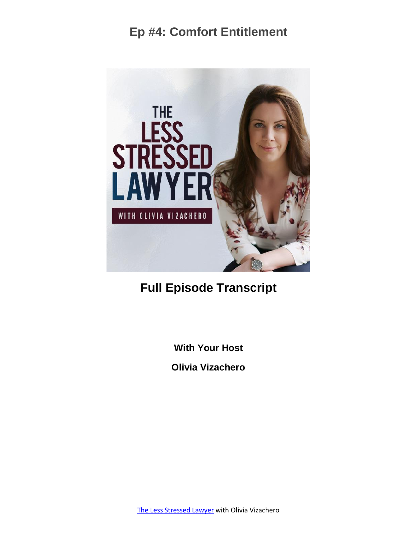

#### **Full Episode Transcript**

**With Your Host**

**Olivia Vizachero**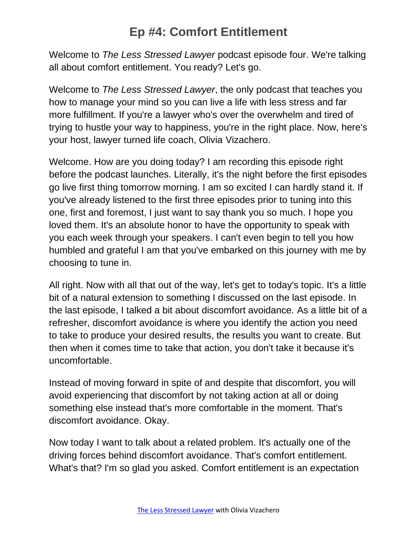Welcome to *The Less Stressed Lawyer* podcast episode four. We're talking all about comfort entitlement. You ready? Let's go.

Welcome to *The Less Stressed Lawyer*, the only podcast that teaches you how to manage your mind so you can live a life with less stress and far more fulfillment. If you're a lawyer who's over the overwhelm and tired of trying to hustle your way to happiness, you're in the right place. Now, here's your host, lawyer turned life coach, Olivia Vizachero.

Welcome. How are you doing today? I am recording this episode right before the podcast launches. Literally, it's the night before the first episodes go live first thing tomorrow morning. I am so excited I can hardly stand it. If you've already listened to the first three episodes prior to tuning into this one, first and foremost, I just want to say thank you so much. I hope you loved them. It's an absolute honor to have the opportunity to speak with you each week through your speakers. I can't even begin to tell you how humbled and grateful I am that you've embarked on this journey with me by choosing to tune in.

All right. Now with all that out of the way, let's get to today's topic. It's a little bit of a natural extension to something I discussed on the last episode. In the last episode, I talked a bit about discomfort avoidance. As a little bit of a refresher, discomfort avoidance is where you identify the action you need to take to produce your desired results, the results you want to create. But then when it comes time to take that action, you don't take it because it's uncomfortable.

Instead of moving forward in spite of and despite that discomfort, you will avoid experiencing that discomfort by not taking action at all or doing something else instead that's more comfortable in the moment. That's discomfort avoidance. Okay.

Now today I want to talk about a related problem. It's actually one of the driving forces behind discomfort avoidance. That's comfort entitlement. What's that? I'm so glad you asked. Comfort entitlement is an expectation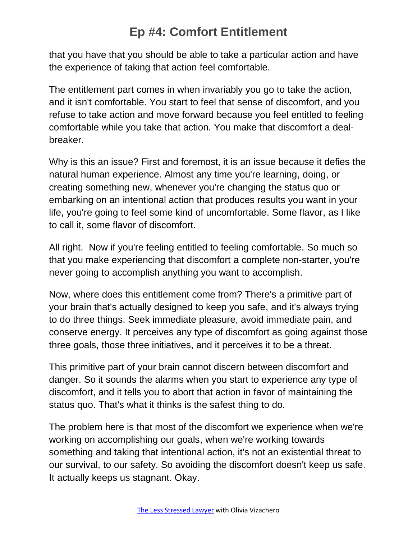that you have that you should be able to take a particular action and have the experience of taking that action feel comfortable.

The entitlement part comes in when invariably you go to take the action, and it isn't comfortable. You start to feel that sense of discomfort, and you refuse to take action and move forward because you feel entitled to feeling comfortable while you take that action. You make that discomfort a dealbreaker.

Why is this an issue? First and foremost, it is an issue because it defies the natural human experience. Almost any time you're learning, doing, or creating something new, whenever you're changing the status quo or embarking on an intentional action that produces results you want in your life, you're going to feel some kind of uncomfortable. Some flavor, as I like to call it, some flavor of discomfort.

All right. Now if you're feeling entitled to feeling comfortable. So much so that you make experiencing that discomfort a complete non-starter, you're never going to accomplish anything you want to accomplish.

Now, where does this entitlement come from? There's a primitive part of your brain that's actually designed to keep you safe, and it's always trying to do three things. Seek immediate pleasure, avoid immediate pain, and conserve energy. It perceives any type of discomfort as going against those three goals, those three initiatives, and it perceives it to be a threat.

This primitive part of your brain cannot discern between discomfort and danger. So it sounds the alarms when you start to experience any type of discomfort, and it tells you to abort that action in favor of maintaining the status quo. That's what it thinks is the safest thing to do.

The problem here is that most of the discomfort we experience when we're working on accomplishing our goals, when we're working towards something and taking that intentional action, it's not an existential threat to our survival, to our safety. So avoiding the discomfort doesn't keep us safe. It actually keeps us stagnant. Okay.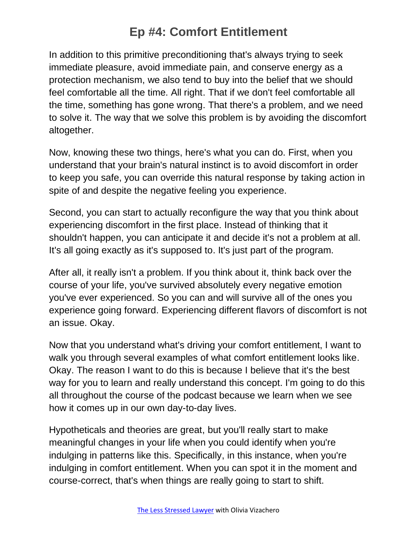In addition to this primitive preconditioning that's always trying to seek immediate pleasure, avoid immediate pain, and conserve energy as a protection mechanism, we also tend to buy into the belief that we should feel comfortable all the time. All right. That if we don't feel comfortable all the time, something has gone wrong. That there's a problem, and we need to solve it. The way that we solve this problem is by avoiding the discomfort altogether.

Now, knowing these two things, here's what you can do. First, when you understand that your brain's natural instinct is to avoid discomfort in order to keep you safe, you can override this natural response by taking action in spite of and despite the negative feeling you experience.

Second, you can start to actually reconfigure the way that you think about experiencing discomfort in the first place. Instead of thinking that it shouldn't happen, you can anticipate it and decide it's not a problem at all. It's all going exactly as it's supposed to. It's just part of the program.

After all, it really isn't a problem. If you think about it, think back over the course of your life, you've survived absolutely every negative emotion you've ever experienced. So you can and will survive all of the ones you experience going forward. Experiencing different flavors of discomfort is not an issue. Okay.

Now that you understand what's driving your comfort entitlement, I want to walk you through several examples of what comfort entitlement looks like. Okay. The reason I want to do this is because I believe that it's the best way for you to learn and really understand this concept. I'm going to do this all throughout the course of the podcast because we learn when we see how it comes up in our own day-to-day lives.

Hypotheticals and theories are great, but you'll really start to make meaningful changes in your life when you could identify when you're indulging in patterns like this. Specifically, in this instance, when you're indulging in comfort entitlement. When you can spot it in the moment and course-correct, that's when things are really going to start to shift.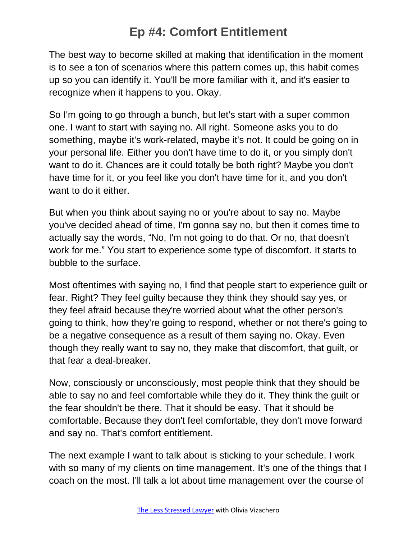The best way to become skilled at making that identification in the moment is to see a ton of scenarios where this pattern comes up, this habit comes up so you can identify it. You'll be more familiar with it, and it's easier to recognize when it happens to you. Okay.

So I'm going to go through a bunch, but let's start with a super common one. I want to start with saying no. All right. Someone asks you to do something, maybe it's work-related, maybe it's not. It could be going on in your personal life. Either you don't have time to do it, or you simply don't want to do it. Chances are it could totally be both right? Maybe you don't have time for it, or you feel like you don't have time for it, and you don't want to do it either.

But when you think about saying no or you're about to say no. Maybe you've decided ahead of time, I'm gonna say no, but then it comes time to actually say the words, "No, I'm not going to do that. Or no, that doesn't work for me." You start to experience some type of discomfort. It starts to bubble to the surface.

Most oftentimes with saying no, I find that people start to experience guilt or fear. Right? They feel guilty because they think they should say yes, or they feel afraid because they're worried about what the other person's going to think, how they're going to respond, whether or not there's going to be a negative consequence as a result of them saying no. Okay. Even though they really want to say no, they make that discomfort, that guilt, or that fear a deal-breaker.

Now, consciously or unconsciously, most people think that they should be able to say no and feel comfortable while they do it. They think the guilt or the fear shouldn't be there. That it should be easy. That it should be comfortable. Because they don't feel comfortable, they don't move forward and say no. That's comfort entitlement.

The next example I want to talk about is sticking to your schedule. I work with so many of my clients on time management. It's one of the things that I coach on the most. I'll talk a lot about time management over the course of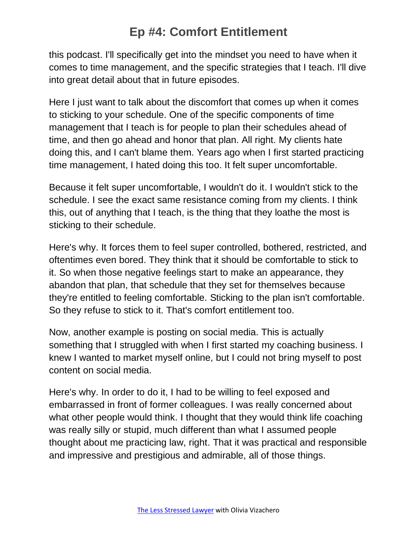this podcast. I'll specifically get into the mindset you need to have when it comes to time management, and the specific strategies that I teach. I'll dive into great detail about that in future episodes.

Here I just want to talk about the discomfort that comes up when it comes to sticking to your schedule. One of the specific components of time management that I teach is for people to plan their schedules ahead of time, and then go ahead and honor that plan. All right. My clients hate doing this, and I can't blame them. Years ago when I first started practicing time management, I hated doing this too. It felt super uncomfortable.

Because it felt super uncomfortable, I wouldn't do it. I wouldn't stick to the schedule. I see the exact same resistance coming from my clients. I think this, out of anything that I teach, is the thing that they loathe the most is sticking to their schedule.

Here's why. It forces them to feel super controlled, bothered, restricted, and oftentimes even bored. They think that it should be comfortable to stick to it. So when those negative feelings start to make an appearance, they abandon that plan, that schedule that they set for themselves because they're entitled to feeling comfortable. Sticking to the plan isn't comfortable. So they refuse to stick to it. That's comfort entitlement too.

Now, another example is posting on social media. This is actually something that I struggled with when I first started my coaching business. I knew I wanted to market myself online, but I could not bring myself to post content on social media.

Here's why. In order to do it, I had to be willing to feel exposed and embarrassed in front of former colleagues. I was really concerned about what other people would think. I thought that they would think life coaching was really silly or stupid, much different than what I assumed people thought about me practicing law, right. That it was practical and responsible and impressive and prestigious and admirable, all of those things.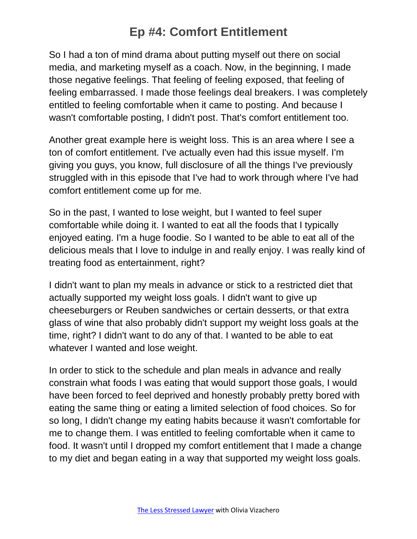So I had a ton of mind drama about putting myself out there on social media, and marketing myself as a coach. Now, in the beginning, I made those negative feelings. That feeling of feeling exposed, that feeling of feeling embarrassed. I made those feelings deal breakers. I was completely entitled to feeling comfortable when it came to posting. And because I wasn't comfortable posting, I didn't post. That's comfort entitlement too.

Another great example here is weight loss. This is an area where I see a ton of comfort entitlement. I've actually even had this issue myself. I'm giving you guys, you know, full disclosure of all the things I've previously struggled with in this episode that I've had to work through where I've had comfort entitlement come up for me.

So in the past, I wanted to lose weight, but I wanted to feel super comfortable while doing it. I wanted to eat all the foods that I typically enjoyed eating. I'm a huge foodie. So I wanted to be able to eat all of the delicious meals that I love to indulge in and really enjoy. I was really kind of treating food as entertainment, right?

I didn't want to plan my meals in advance or stick to a restricted diet that actually supported my weight loss goals. I didn't want to give up cheeseburgers or Reuben sandwiches or certain desserts, or that extra glass of wine that also probably didn't support my weight loss goals at the time, right? I didn't want to do any of that. I wanted to be able to eat whatever I wanted and lose weight.

In order to stick to the schedule and plan meals in advance and really constrain what foods I was eating that would support those goals, I would have been forced to feel deprived and honestly probably pretty bored with eating the same thing or eating a limited selection of food choices. So for so long, I didn't change my eating habits because it wasn't comfortable for me to change them. I was entitled to feeling comfortable when it came to food. It wasn't until I dropped my comfort entitlement that I made a change to my diet and began eating in a way that supported my weight loss goals.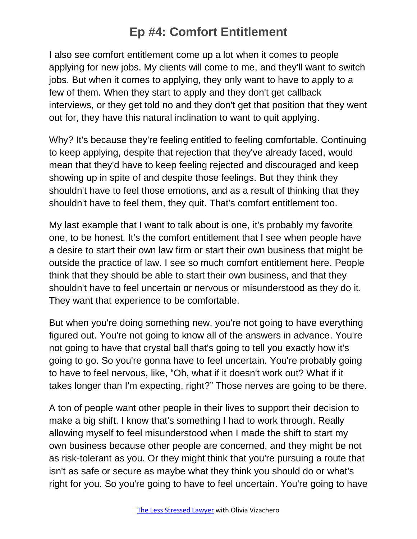I also see comfort entitlement come up a lot when it comes to people applying for new jobs. My clients will come to me, and they'll want to switch jobs. But when it comes to applying, they only want to have to apply to a few of them. When they start to apply and they don't get callback interviews, or they get told no and they don't get that position that they went out for, they have this natural inclination to want to quit applying.

Why? It's because they're feeling entitled to feeling comfortable. Continuing to keep applying, despite that rejection that they've already faced, would mean that they'd have to keep feeling rejected and discouraged and keep showing up in spite of and despite those feelings. But they think they shouldn't have to feel those emotions, and as a result of thinking that they shouldn't have to feel them, they quit. That's comfort entitlement too.

My last example that I want to talk about is one, it's probably my favorite one, to be honest. It's the comfort entitlement that I see when people have a desire to start their own law firm or start their own business that might be outside the practice of law. I see so much comfort entitlement here. People think that they should be able to start their own business, and that they shouldn't have to feel uncertain or nervous or misunderstood as they do it. They want that experience to be comfortable.

But when you're doing something new, you're not going to have everything figured out. You're not going to know all of the answers in advance. You're not going to have that crystal ball that's going to tell you exactly how it's going to go. So you're gonna have to feel uncertain. You're probably going to have to feel nervous, like, "Oh, what if it doesn't work out? What if it takes longer than I'm expecting, right?" Those nerves are going to be there.

A ton of people want other people in their lives to support their decision to make a big shift. I know that's something I had to work through. Really allowing myself to feel misunderstood when I made the shift to start my own business because other people are concerned, and they might be not as risk-tolerant as you. Or they might think that you're pursuing a route that isn't as safe or secure as maybe what they think you should do or what's right for you. So you're going to have to feel uncertain. You're going to have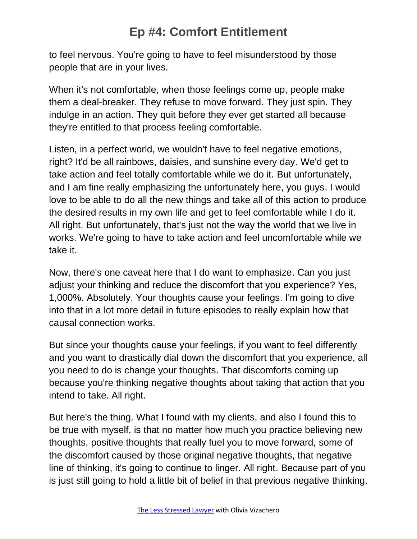to feel nervous. You're going to have to feel misunderstood by those people that are in your lives.

When it's not comfortable, when those feelings come up, people make them a deal-breaker. They refuse to move forward. They just spin. They indulge in an action. They quit before they ever get started all because they're entitled to that process feeling comfortable.

Listen, in a perfect world, we wouldn't have to feel negative emotions, right? It'd be all rainbows, daisies, and sunshine every day. We'd get to take action and feel totally comfortable while we do it. But unfortunately, and I am fine really emphasizing the unfortunately here, you guys. I would love to be able to do all the new things and take all of this action to produce the desired results in my own life and get to feel comfortable while I do it. All right. But unfortunately, that's just not the way the world that we live in works. We're going to have to take action and feel uncomfortable while we take it.

Now, there's one caveat here that I do want to emphasize. Can you just adjust your thinking and reduce the discomfort that you experience? Yes, 1,000%. Absolutely. Your thoughts cause your feelings. I'm going to dive into that in a lot more detail in future episodes to really explain how that causal connection works.

But since your thoughts cause your feelings, if you want to feel differently and you want to drastically dial down the discomfort that you experience, all you need to do is change your thoughts. That discomforts coming up because you're thinking negative thoughts about taking that action that you intend to take. All right.

But here's the thing. What I found with my clients, and also I found this to be true with myself, is that no matter how much you practice believing new thoughts, positive thoughts that really fuel you to move forward, some of the discomfort caused by those original negative thoughts, that negative line of thinking, it's going to continue to linger. All right. Because part of you is just still going to hold a little bit of belief in that previous negative thinking.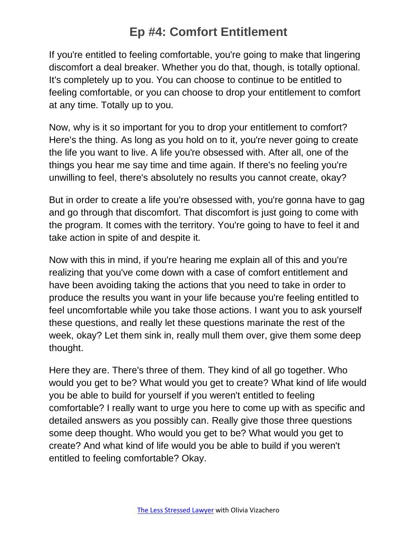If you're entitled to feeling comfortable, you're going to make that lingering discomfort a deal breaker. Whether you do that, though, is totally optional. It's completely up to you. You can choose to continue to be entitled to feeling comfortable, or you can choose to drop your entitlement to comfort at any time. Totally up to you.

Now, why is it so important for you to drop your entitlement to comfort? Here's the thing. As long as you hold on to it, you're never going to create the life you want to live. A life you're obsessed with. After all, one of the things you hear me say time and time again. If there's no feeling you're unwilling to feel, there's absolutely no results you cannot create, okay?

But in order to create a life you're obsessed with, you're gonna have to gag and go through that discomfort. That discomfort is just going to come with the program. It comes with the territory. You're going to have to feel it and take action in spite of and despite it.

Now with this in mind, if you're hearing me explain all of this and you're realizing that you've come down with a case of comfort entitlement and have been avoiding taking the actions that you need to take in order to produce the results you want in your life because you're feeling entitled to feel uncomfortable while you take those actions. I want you to ask yourself these questions, and really let these questions marinate the rest of the week, okay? Let them sink in, really mull them over, give them some deep thought.

Here they are. There's three of them. They kind of all go together. Who would you get to be? What would you get to create? What kind of life would you be able to build for yourself if you weren't entitled to feeling comfortable? I really want to urge you here to come up with as specific and detailed answers as you possibly can. Really give those three questions some deep thought. Who would you get to be? What would you get to create? And what kind of life would you be able to build if you weren't entitled to feeling comfortable? Okay.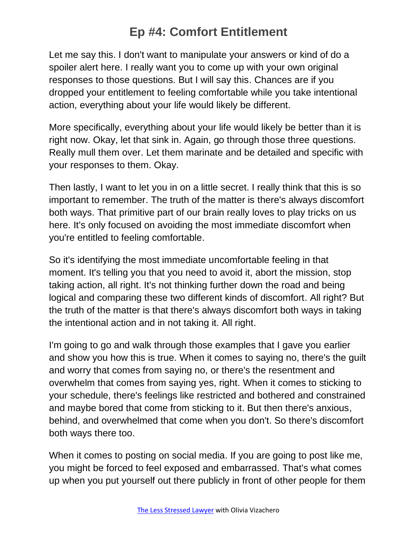Let me say this. I don't want to manipulate your answers or kind of do a spoiler alert here. I really want you to come up with your own original responses to those questions. But I will say this. Chances are if you dropped your entitlement to feeling comfortable while you take intentional action, everything about your life would likely be different.

More specifically, everything about your life would likely be better than it is right now. Okay, let that sink in. Again, go through those three questions. Really mull them over. Let them marinate and be detailed and specific with your responses to them. Okay.

Then lastly, I want to let you in on a little secret. I really think that this is so important to remember. The truth of the matter is there's always discomfort both ways. That primitive part of our brain really loves to play tricks on us here. It's only focused on avoiding the most immediate discomfort when you're entitled to feeling comfortable.

So it's identifying the most immediate uncomfortable feeling in that moment. It's telling you that you need to avoid it, abort the mission, stop taking action, all right. It's not thinking further down the road and being logical and comparing these two different kinds of discomfort. All right? But the truth of the matter is that there's always discomfort both ways in taking the intentional action and in not taking it. All right.

I'm going to go and walk through those examples that I gave you earlier and show you how this is true. When it comes to saying no, there's the guilt and worry that comes from saying no, or there's the resentment and overwhelm that comes from saying yes, right. When it comes to sticking to your schedule, there's feelings like restricted and bothered and constrained and maybe bored that come from sticking to it. But then there's anxious, behind, and overwhelmed that come when you don't. So there's discomfort both ways there too.

When it comes to posting on social media. If you are going to post like me, you might be forced to feel exposed and embarrassed. That's what comes up when you put yourself out there publicly in front of other people for them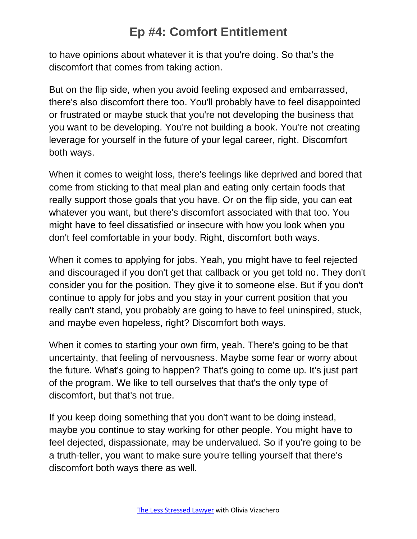to have opinions about whatever it is that you're doing. So that's the discomfort that comes from taking action.

But on the flip side, when you avoid feeling exposed and embarrassed, there's also discomfort there too. You'll probably have to feel disappointed or frustrated or maybe stuck that you're not developing the business that you want to be developing. You're not building a book. You're not creating leverage for yourself in the future of your legal career, right. Discomfort both ways.

When it comes to weight loss, there's feelings like deprived and bored that come from sticking to that meal plan and eating only certain foods that really support those goals that you have. Or on the flip side, you can eat whatever you want, but there's discomfort associated with that too. You might have to feel dissatisfied or insecure with how you look when you don't feel comfortable in your body. Right, discomfort both ways.

When it comes to applying for jobs. Yeah, you might have to feel rejected and discouraged if you don't get that callback or you get told no. They don't consider you for the position. They give it to someone else. But if you don't continue to apply for jobs and you stay in your current position that you really can't stand, you probably are going to have to feel uninspired, stuck, and maybe even hopeless, right? Discomfort both ways.

When it comes to starting your own firm, yeah. There's going to be that uncertainty, that feeling of nervousness. Maybe some fear or worry about the future. What's going to happen? That's going to come up. It's just part of the program. We like to tell ourselves that that's the only type of discomfort, but that's not true.

If you keep doing something that you don't want to be doing instead, maybe you continue to stay working for other people. You might have to feel dejected, dispassionate, may be undervalued. So if you're going to be a truth-teller, you want to make sure you're telling yourself that there's discomfort both ways there as well.